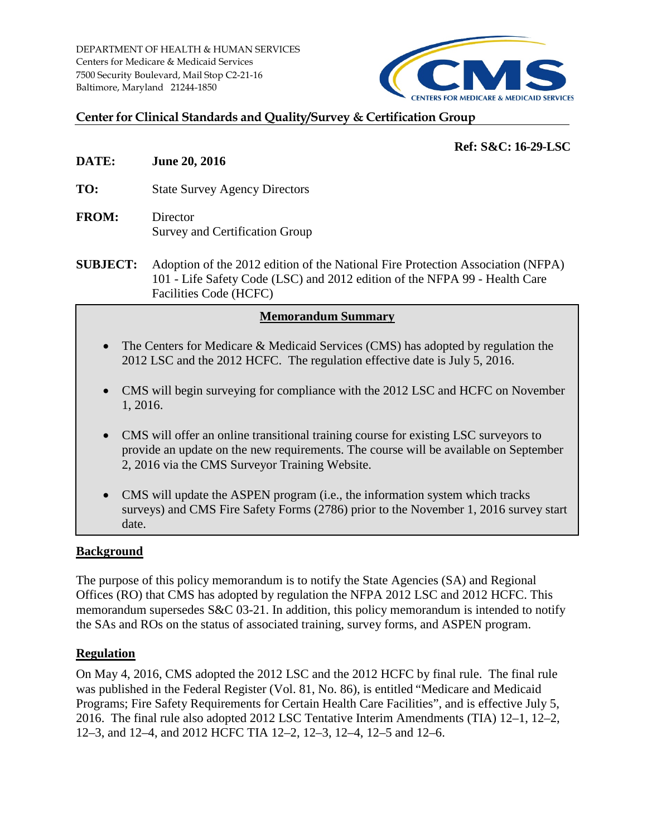

### **Center for Clinical Standards and Quality/Survey & Certification Group**

#### **Ref: S&C: 16-29-LSC**

- **DATE: June 20, 2016**
- **TO:** State Survey Agency Directors
- **FROM:** Director Survey and Certification Group
- **SUBJECT:** Adoption of the 2012 edition of the National Fire Protection Association (NFPA) 101 - Life Safety Code (LSC) and 2012 edition of the NFPA 99 - Health Care Facilities Code (HCFC)

#### **Memorandum Summary**

- The Centers for Medicare & Medicaid Services (CMS) has adopted by regulation the 2012 LSC and the 2012 HCFC. The regulation effective date is July 5, 2016.
- CMS will begin surveying for compliance with the 2012 LSC and HCFC on November 1, 2016.
- CMS will offer an online transitional training course for existing LSC surveyors to provide an update on the new requirements. The course will be available on September 2, 2016 via the CMS Surveyor Training Website.
- CMS will update the ASPEN program (i.e., the information system which tracks surveys) and CMS Fire Safety Forms (2786) prior to the November 1, 2016 survey start date.

## **Background**

The purpose of this policy memorandum is to notify the State Agencies (SA) and Regional Offices (RO) that CMS has adopted by regulation the NFPA 2012 LSC and 2012 HCFC. This memorandum supersedes S&C 03-21. In addition, this policy memorandum is intended to notify the SAs and ROs on the status of associated training, survey forms, and ASPEN program.

## **Regulation**

On May 4, 2016, CMS adopted the 2012 LSC and the 2012 HCFC by final rule. The final rule was published in the Federal Register (Vol. 81, No. 86), is entitled "Medicare and Medicaid Programs; Fire Safety Requirements for Certain Health Care Facilities", and is effective July 5, 2016. The final rule also adopted 2012 LSC Tentative Interim Amendments (TIA) 12–1, 12–2, 12–3, and 12–4, and 2012 HCFC TIA 12–2, 12–3, 12–4, 12–5 and 12–6.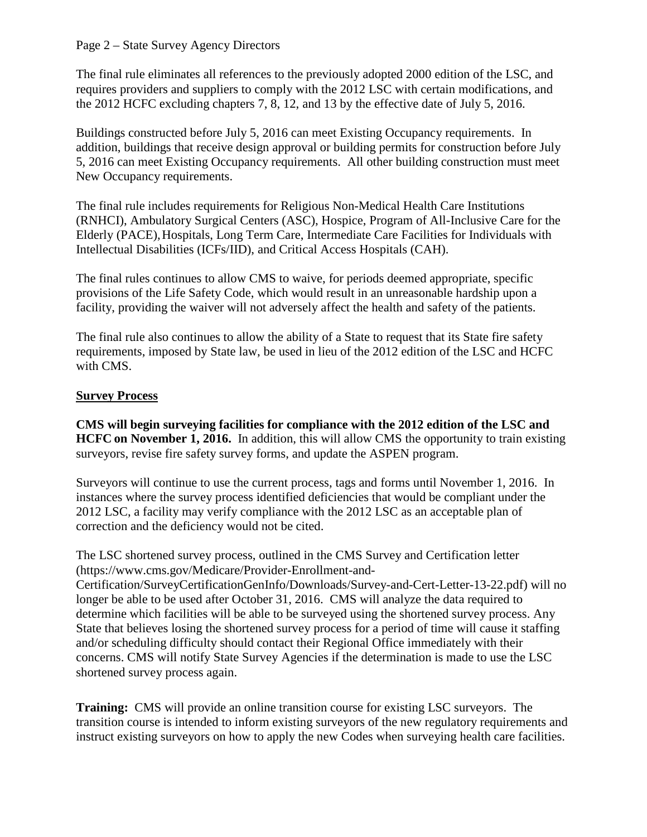#### Page 2 – State Survey Agency Directors

The final rule eliminates all references to the previously adopted 2000 edition of the LSC, and requires providers and suppliers to comply with the 2012 LSC with certain modifications, and the 2012 HCFC excluding chapters 7, 8, 12, and 13 by the effective date of July 5, 2016.

Buildings constructed before July 5, 2016 can meet Existing Occupancy requirements. In addition, buildings that receive design approval or building permits for construction before July 5, 2016 can meet Existing Occupancy requirements. All other building construction must meet New Occupancy requirements.

The final rule includes requirements for Religious Non-Medical Health Care Institutions (RNHCI), Ambulatory Surgical Centers (ASC), Hospice, Program of All-Inclusive Care for the Elderly (PACE),Hospitals, Long Term Care, Intermediate Care Facilities for Individuals with Intellectual Disabilities (ICFs/IID), and Critical Access Hospitals (CAH).

The final rules continues to allow CMS to waive, for periods deemed appropriate, specific provisions of the Life Safety Code, which would result in an unreasonable hardship upon a facility, providing the waiver will not adversely affect the health and safety of the patients.

The final rule also continues to allow the ability of a State to request that its State fire safety requirements, imposed by State law, be used in lieu of the 2012 edition of the LSC and HCFC with CMS.

# **Survey Process**

**CMS will begin surveying facilities for compliance with the 2012 edition of the LSC and HCFC on November 1, 2016.** In addition, this will allow CMS the opportunity to train existing surveyors, revise fire safety survey forms, and update the ASPEN program.

Surveyors will continue to use the current process, tags and forms until November 1, 2016. In instances where the survey process identified deficiencies that would be compliant under the 2012 LSC, a facility may verify compliance with the 2012 LSC as an acceptable plan of correction and the deficiency would not be cited.

The LSC shortened survey process, outlined in the CMS Survey and Certification letter (https://www.cms.gov/Medicare/Provider-Enrollment-and-

Certification/SurveyCertificationGenInfo/Downloads/Survey-and-Cert-Letter-13-22.pdf) will no longer be able to be used after October 31, 2016. CMS will analyze the data required to determine which facilities will be able to be surveyed using the shortened survey process. Any State that believes losing the shortened survey process for a period of time will cause it staffing and/or scheduling difficulty should contact their Regional Office immediately with their concerns. CMS will notify State Survey Agencies if the determination is made to use the LSC shortened survey process again.

**Training:** CMS will provide an online transition course for existing LSC surveyors. The transition course is intended to inform existing surveyors of the new regulatory requirements and instruct existing surveyors on how to apply the new Codes when surveying health care facilities.